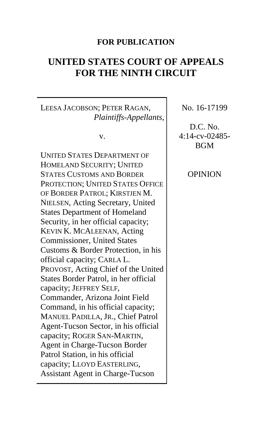# **FOR PUBLICATION**

# **UNITED STATES COURT OF APPEALS FOR THE NINTH CIRCUIT**

LEESA JACOBSON; PETER RAGAN, *Plaintiffs-Appellants*,

v.

UNITED STATES DEPARTMENT OF HOMELAND SECURITY; UNITED STATES CUSTOMS AND BORDER PROTECTION; UNITED STATES OFFICE OF BORDER PATROL; KIRSTJEN M. NIELSEN, Acting Secretary, United States Department of Homeland Security, in her official capacity; KEVIN K. MCALEENAN, Acting Commissioner, United States Customs & Border Protection, in his official capacity; CARLA L. PROVOST, Acting Chief of the United States Border Patrol, in her official capacity; JEFFREY SELF, Commander, Arizona Joint Field Command, in his official capacity; MANUEL PADILLA, JR., Chief Patrol Agent-Tucson Sector, in his official capacity; ROGER SAN-MARTIN, Agent in Charge-Tucson Border Patrol Station, in his official capacity; LLOYD EASTERLING, Assistant Agent in Charge-Tucson

No. 16-17199

D.C. No. 4:14-cv-02485- BGM

OPINION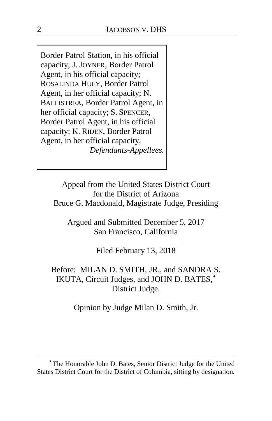Border Patrol Station, in his official capacity; J. JOYNER, Border Patrol Agent, in his official capacity; ROSALINDA HUEY, Border Patrol Agent, in her official capacity; N. BALLISTREA, Border Patrol Agent, in her official capacity; S. SPENCER, Border Patrol Agent, in his official capacity; K. RIDEN, Border Patrol Agent, in her official capacity, *Defendants-Appellees.*

> Appeal from the United States District Court for the District of Arizona Bruce G. Macdonald, Magistrate Judge, Presiding

Argued and Submitted December 5, 2017 San Francisco, California

Filed February 13, 2018

Before: MILAN D. SMITH, JR., and SANDRA S. IKUTA, Circuit Judges, and JOHN D. BATES,**[\\*](#page-1-0)** District Judge.

Opinion by Judge Milan D. Smith, Jr.

 $\overline{a}$ 

<span id="page-1-0"></span>**<sup>\*</sup>** The Honorable John D. Bates, Senior District Judge for the United States District Court for the District of Columbia, sitting by designation.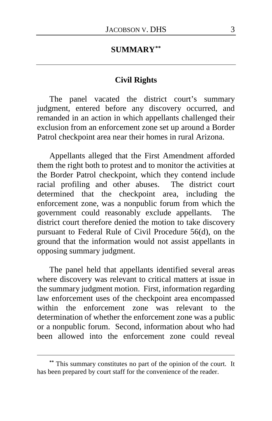## **SUMMARY[\\*\\*](#page-2-0)**

#### **Civil Rights**

The panel vacated the district court's summary judgment, entered before any discovery occurred, and remanded in an action in which appellants challenged their exclusion from an enforcement zone set up around a Border Patrol checkpoint area near their homes in rural Arizona.

Appellants alleged that the First Amendment afforded them the right both to protest and to monitor the activities at the Border Patrol checkpoint, which they contend include racial profiling and other abuses. The district court determined that the checkpoint area, including the enforcement zone, was a nonpublic forum from which the government could reasonably exclude appellants. The district court therefore denied the motion to take discovery pursuant to Federal Rule of Civil Procedure 56(d), on the ground that the information would not assist appellants in opposing summary judgment.

The panel held that appellants identified several areas where discovery was relevant to critical matters at issue in the summary judgment motion. First, information regarding law enforcement uses of the checkpoint area encompassed within the enforcement zone was relevant to the determination of whether the enforcement zone was a public or a nonpublic forum. Second, information about who had been allowed into the enforcement zone could reveal

 $\overline{a}$ 

<span id="page-2-0"></span>**<sup>\*\*</sup>** This summary constitutes no part of the opinion of the court. It has been prepared by court staff for the convenience of the reader.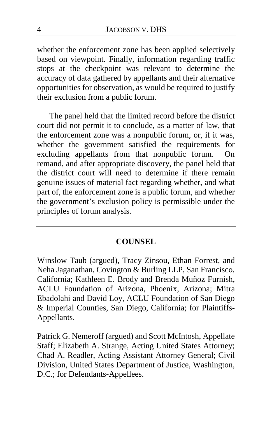whether the enforcement zone has been applied selectively based on viewpoint. Finally, information regarding traffic stops at the checkpoint was relevant to determine the accuracy of data gathered by appellants and their alternative opportunities for observation, as would be required to justify their exclusion from a public forum.

The panel held that the limited record before the district court did not permit it to conclude, as a matter of law, that the enforcement zone was a nonpublic forum, or, if it was, whether the government satisfied the requirements for excluding appellants from that nonpublic forum. On remand, and after appropriate discovery, the panel held that the district court will need to determine if there remain genuine issues of material fact regarding whether, and what part of, the enforcement zone is a public forum, and whether the government's exclusion policy is permissible under the principles of forum analysis.

## **COUNSEL**

Winslow Taub (argued), Tracy Zinsou, Ethan Forrest, and Neha Jaganathan, Covington & Burling LLP, San Francisco, California; Kathleen E. Brody and Brenda Muñoz Furnish, ACLU Foundation of Arizona, Phoenix, Arizona; Mitra Ebadolahi and David Loy, ACLU Foundation of San Diego & Imperial Counties, San Diego, California; for Plaintiffs-Appellants.

Patrick G. Nemeroff (argued) and Scott McIntosh, Appellate Staff; Elizabeth A. Strange, Acting United States Attorney; Chad A. Readler, Acting Assistant Attorney General; Civil Division, United States Department of Justice, Washington, D.C.; for Defendants-Appellees.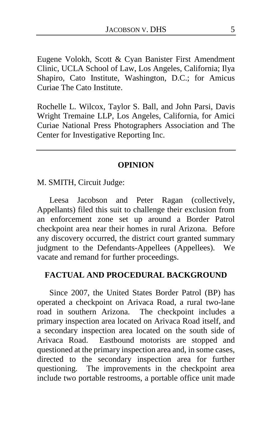Eugene Volokh, Scott & Cyan Banister First Amendment Clinic, UCLA School of Law, Los Angeles, California; Ilya Shapiro, Cato Institute, Washington, D.C.; for Amicus Curiae The Cato Institute.

Rochelle L. Wilcox, Taylor S. Ball, and John Parsi, Davis Wright Tremaine LLP, Los Angeles, California, for Amici Curiae National Press Photographers Association and The Center for Investigative Reporting Inc.

#### **OPINION**

M. SMITH, Circuit Judge:

Leesa Jacobson and Peter Ragan (collectively, Appellants) filed this suit to challenge their exclusion from an enforcement zone set up around a Border Patrol checkpoint area near their homes in rural Arizona. Before any discovery occurred, the district court granted summary judgment to the Defendants-Appellees (Appellees). We vacate and remand for further proceedings.

#### **FACTUAL AND PROCEDURAL BACKGROUND**

Since 2007, the United States Border Patrol (BP) has operated a checkpoint on Arivaca Road, a rural two-lane road in southern Arizona. The checkpoint includes a primary inspection area located on Arivaca Road itself, and a secondary inspection area located on the south side of Arivaca Road. Eastbound motorists are stopped and questioned at the primary inspection area and, in some cases, directed to the secondary inspection area for further questioning. The improvements in the checkpoint area include two portable restrooms, a portable office unit made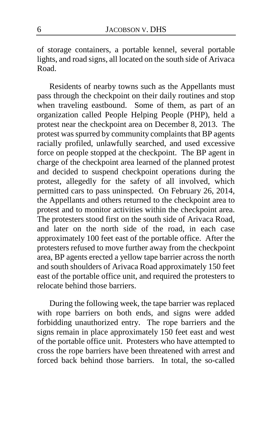of storage containers, a portable kennel, several portable lights, and road signs, all located on the south side of Arivaca Road.

Residents of nearby towns such as the Appellants must pass through the checkpoint on their daily routines and stop when traveling eastbound. Some of them, as part of an organization called People Helping People (PHP), held a protest near the checkpoint area on December 8, 2013. The protest was spurred by community complaints that BP agents racially profiled, unlawfully searched, and used excessive force on people stopped at the checkpoint. The BP agent in charge of the checkpoint area learned of the planned protest and decided to suspend checkpoint operations during the protest, allegedly for the safety of all involved, which permitted cars to pass uninspected. On February 26, 2014, the Appellants and others returned to the checkpoint area to protest and to monitor activities within the checkpoint area. The protesters stood first on the south side of Arivaca Road, and later on the north side of the road, in each case approximately 100 feet east of the portable office. After the protesters refused to move further away from the checkpoint area, BP agents erected a yellow tape barrier across the north and south shoulders of Arivaca Road approximately 150 feet east of the portable office unit, and required the protesters to relocate behind those barriers.

During the following week, the tape barrier was replaced with rope barriers on both ends, and signs were added forbidding unauthorized entry. The rope barriers and the signs remain in place approximately 150 feet east and west of the portable office unit. Protesters who have attempted to cross the rope barriers have been threatened with arrest and forced back behind those barriers. In total, the so-called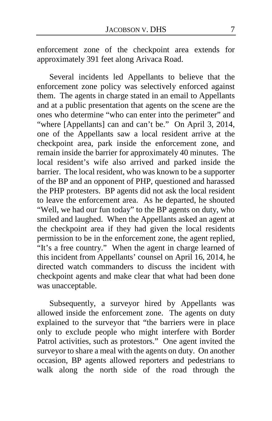enforcement zone of the checkpoint area extends for approximately 391 feet along Arivaca Road.

Several incidents led Appellants to believe that the enforcement zone policy was selectively enforced against them. The agents in charge stated in an email to Appellants and at a public presentation that agents on the scene are the ones who determine "who can enter into the perimeter" and "where [Appellants] can and can't be." On April 3, 2014, one of the Appellants saw a local resident arrive at the checkpoint area, park inside the enforcement zone, and remain inside the barrier for approximately 40 minutes. The local resident's wife also arrived and parked inside the barrier. The local resident, who was known to be a supporter of the BP and an opponent of PHP, questioned and harassed the PHP protesters. BP agents did not ask the local resident to leave the enforcement area. As he departed, he shouted "Well, we had our fun today" to the BP agents on duty, who smiled and laughed. When the Appellants asked an agent at the checkpoint area if they had given the local residents permission to be in the enforcement zone, the agent replied, "It's a free country." When the agent in charge learned of this incident from Appellants' counsel on April 16, 2014, he directed watch commanders to discuss the incident with checkpoint agents and make clear that what had been done was unacceptable.

Subsequently, a surveyor hired by Appellants was allowed inside the enforcement zone. The agents on duty explained to the surveyor that "the barriers were in place only to exclude people who might interfere with Border Patrol activities, such as protestors." One agent invited the surveyor to share a meal with the agents on duty. On another occasion, BP agents allowed reporters and pedestrians to walk along the north side of the road through the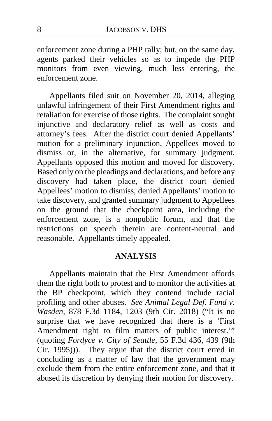enforcement zone during a PHP rally; but, on the same day, agents parked their vehicles so as to impede the PHP monitors from even viewing, much less entering, the enforcement zone.

Appellants filed suit on November 20, 2014, alleging unlawful infringement of their First Amendment rights and retaliation for exercise of those rights. The complaint sought injunctive and declaratory relief as well as costs and attorney's fees. After the district court denied Appellants' motion for a preliminary injunction, Appellees moved to dismiss or, in the alternative, for summary judgment. Appellants opposed this motion and moved for discovery. Based only on the pleadings and declarations, and before any discovery had taken place, the district court denied Appellees' motion to dismiss, denied Appellants' motion to take discovery, and granted summary judgment to Appellees on the ground that the checkpoint area, including the enforcement zone, is a nonpublic forum, and that the restrictions on speech therein are content-neutral and reasonable. Appellants timely appealed.

#### **ANALYSIS**

Appellants maintain that the First Amendment affords them the right both to protest and to monitor the activities at the BP checkpoint, which they contend include racial profiling and other abuses. *See Animal Legal Def. Fund v. Wasden*, 878 F.3d 1184, 1203 (9th Cir. 2018) ("It is no surprise that we have recognized that there is a 'First Amendment right to film matters of public interest.'" (quoting *Fordyce v. City of Seattle*, 55 F.3d 436, 439 (9th Cir. 1995))). They argue that the district court erred in concluding as a matter of law that the government may exclude them from the entire enforcement zone, and that it abused its discretion by denying their motion for discovery.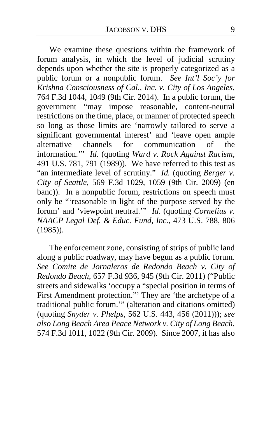We examine these questions within the framework of forum analysis, in which the level of judicial scrutiny depends upon whether the site is properly categorized as a public forum or a nonpublic forum. *See Int'l Soc'y for Krishna Consciousness of Cal., Inc. v. City of Los Angeles*, 764 F.3d 1044, 1049 (9th Cir. 2014). In a public forum, the government "may impose reasonable, content-neutral restrictions on the time, place, or manner of protected speech so long as those limits are 'narrowly tailored to serve a significant governmental interest' and 'leave open ample<br>alternative channels for communication of the alternative channels for communication of the information.'" *Id.* (quoting *Ward v. Rock Against Racism*, 491 U.S. 781, 791 (1989)). We have referred to this test as "an intermediate level of scrutiny." *Id.* (quoting *Berger v. City of Seattle*, 569 F.3d 1029, 1059 (9th Cir. 2009) (en banc)). In a nonpublic forum, restrictions on speech must only be "'reasonable in light of the purpose served by the forum' and 'viewpoint neutral.'" *Id.* (quoting *Cornelius v. NAACP Legal Def. & Educ. Fund, Inc.*, 473 U.S. 788, 806 (1985)).

The enforcement zone, consisting of strips of public land along a public roadway, may have begun as a public forum. *See Comite de Jornaleros de Redondo Beach v. City of Redondo Beach*, 657 F.3d 936, 945 (9th Cir. 2011) ("Public streets and sidewalks 'occupy a "special position in terms of First Amendment protection."' They are 'the archetype of a traditional public forum.'" (alteration and citations omitted) (quoting *Snyder v. Phelps*, 562 U.S. 443, 456 (2011))); *see also Long Beach Area Peace Network v. City of Long Beach*, 574 F.3d 1011, 1022 (9th Cir. 2009). Since 2007, it has also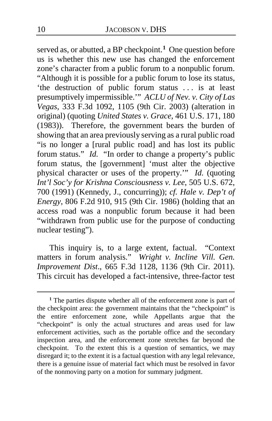served as, or abutted, a BP checkpoint.**[1](#page-9-0)** One question before us is whether this new use has changed the enforcement zone's character from a public forum to a nonpublic forum. "Although it is possible for a public forum to lose its status, 'the destruction of public forum status . . . is at least presumptively impermissible.'" *ACLU of Nev. v. City of Las Vegas*, 333 F.3d 1092, 1105 (9th Cir. 2003) (alteration in original) (quoting *United States v. Grace*, 461 U.S. 171, 180 (1983)). Therefore, the government bears the burden of showing that an area previously serving as a rural public road "is no longer a [rural public road] and has lost its public forum status." *Id.* "In order to change a property's public forum status, the [government] 'must alter the objective physical character or uses of the property.'" *Id.* (quoting *Int'l Soc'y for Krishna Consciousness v. Lee*, 505 U.S. 672, 700 (1991) (Kennedy, J., concurring)); *cf. Hale v. Dep't of Energy*, 806 F.2d 910, 915 (9th Cir. 1986) (holding that an access road was a nonpublic forum because it had been "withdrawn from public use for the purpose of conducting nuclear testing").

This inquiry is, to a large extent, factual. "Context matters in forum analysis." *Wright v. Incline Vill. Gen. Improvement Dist*., 665 F.3d 1128, 1136 (9th Cir. 2011). This circuit has developed a fact-intensive, three-factor test

 $\overline{a}$ 

<span id="page-9-0"></span>**<sup>1</sup>** The parties dispute whether all of the enforcement zone is part of the checkpoint area: the government maintains that the "checkpoint" is the entire enforcement zone, while Appellants argue that the "checkpoint" is only the actual structures and areas used for law enforcement activities, such as the portable office and the secondary inspection area, and the enforcement zone stretches far beyond the checkpoint. To the extent this is a question of semantics, we may disregard it; to the extent it is a factual question with any legal relevance, there is a genuine issue of material fact which must be resolved in favor of the nonmoving party on a motion for summary judgment.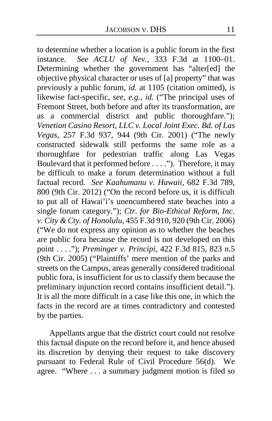to determine whether a location is a public forum in the first instance. *See ACLU of Nev.*, 333 F.3d at 1100–01. Determining whether the government has "alter[ed] the objective physical character or uses of [a] property" that was previously a public forum, *id.* at 1105 (citation omitted), is likewise fact-specific, *see, e.g.*, *id.* ("The principal uses of Fremont Street, both before and after its transformation, are as a commercial district and public thoroughfare."); *Venetian Casino Resort, LLC v. Local Joint Exec. Bd. of Las Vegas*, 257 F.3d 937, 944 (9th Cir. 2001) ("The newly constructed sidewalk still performs the same role as a thoroughfare for pedestrian traffic along Las Vegas Boulevard that it performed before . . . ."). Therefore, it may be difficult to make a forum determination without a full factual record. *See Kaahumanu v. Hawaii*, 682 F.3d 789, 800 (9th Cir. 2012) ("On the record before us, it is difficult to put all of Hawai'i's unencumbered state beaches into a single forum category."); *Ctr. for Bio-Ethical Reform, Inc. v. City & Cty. of Honolulu*, 455 F.3d 910, 920 (9th Cir. 2006) ("We do not express any opinion as to whether the beaches are public fora because the record is not developed on this point . . . ."); *Preminger v. Principi*, 422 F.3d 815, 823 n.5 (9th Cir. 2005) ("Plaintiffs' mere mention of the parks and streets on the Campus, areas generally considered traditional public fora, is insufficient for us to classify them because the preliminary injunction record contains insufficient detail."). It is all the more difficult in a case like this one, in which the facts in the record are at times contradictory and contested by the parties.

Appellants argue that the district court could not resolve this factual dispute on the record before it, and hence abused its discretion by denying their request to take discovery pursuant to Federal Rule of Civil Procedure 56(d). We agree. "Where . . . a summary judgment motion is filed so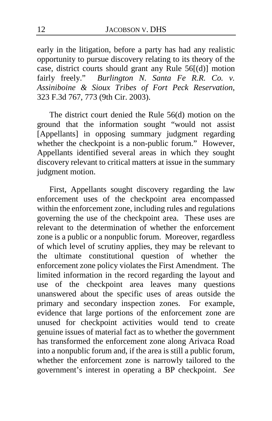early in the litigation, before a party has had any realistic opportunity to pursue discovery relating to its theory of the case, district courts should grant any Rule 56[(d)] motion fairly freely." *Burlington N. Santa Fe R.R. Co. v. Assiniboine & Sioux Tribes of Fort Peck Reservation*, 323 F.3d 767, 773 (9th Cir. 2003).

The district court denied the Rule 56(d) motion on the ground that the information sought "would not assist [Appellants] in opposing summary judgment regarding whether the checkpoint is a non-public forum." However, Appellants identified several areas in which they sought discovery relevant to critical matters at issue in the summary judgment motion.

First, Appellants sought discovery regarding the law enforcement uses of the checkpoint area encompassed within the enforcement zone, including rules and regulations governing the use of the checkpoint area. These uses are relevant to the determination of whether the enforcement zone is a public or a nonpublic forum. Moreover, regardless of which level of scrutiny applies, they may be relevant to<br>the ultimate constitutional question of whether the the ultimate constitutional question of whether enforcement zone policy violates the First Amendment. The limited information in the record regarding the layout and use of the checkpoint area leaves many questions unanswered about the specific uses of areas outside the primary and secondary inspection zones. For example, evidence that large portions of the enforcement zone are unused for checkpoint activities would tend to create genuine issues of material fact as to whether the government has transformed the enforcement zone along Arivaca Road into a nonpublic forum and, if the area is still a public forum, whether the enforcement zone is narrowly tailored to the government's interest in operating a BP checkpoint. *See*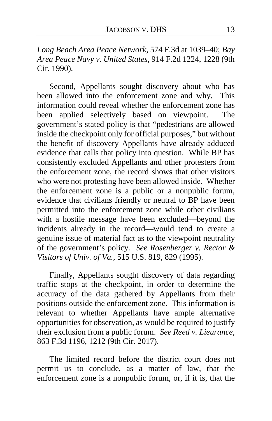*Long Beach Area Peace Network*, 574 F.3d at 1039–40; *Bay Area Peace Navy v. United States*, 914 F.2d 1224, 1228 (9th Cir. 1990).

Second, Appellants sought discovery about who has been allowed into the enforcement zone and why. This information could reveal whether the enforcement zone has been applied selectively based on viewpoint. The government's stated policy is that "pedestrians are allowed inside the checkpoint only for official purposes," but without the benefit of discovery Appellants have already adduced evidence that calls that policy into question. While BP has consistently excluded Appellants and other protesters from the enforcement zone, the record shows that other visitors who were not protesting have been allowed inside. Whether the enforcement zone is a public or a nonpublic forum, evidence that civilians friendly or neutral to BP have been permitted into the enforcement zone while other civilians with a hostile message have been excluded—beyond the incidents already in the record—would tend to create a genuine issue of material fact as to the viewpoint neutrality of the government's policy. *See Rosenberger v. Rector & Visitors of Univ. of Va.*, 515 U.S. 819, 829 (1995).

Finally, Appellants sought discovery of data regarding traffic stops at the checkpoint, in order to determine the accuracy of the data gathered by Appellants from their positions outside the enforcement zone. This information is relevant to whether Appellants have ample alternative opportunities for observation, as would be required to justify their exclusion from a public forum. *See Reed v. Lieurance*, 863 F.3d 1196, 1212 (9th Cir. 2017).

The limited record before the district court does not permit us to conclude, as a matter of law, that the enforcement zone is a nonpublic forum, or, if it is, that the